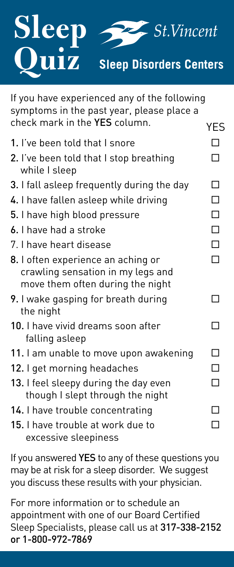

| If you have experienced any of the following<br>symptoms in the past year, please place a<br>check mark in the YES column. | YES    |
|----------------------------------------------------------------------------------------------------------------------------|--------|
| 1. I've been told that I snore                                                                                             | П      |
| 2. I've been told that I stop breathing<br>while I sleep                                                                   | П      |
| 3. I fall asleep frequently during the day                                                                                 | П      |
| 4. I have fallen asleep while driving                                                                                      | $\Box$ |
| 5. I have high blood pressure                                                                                              | $\Box$ |
| 6. I have had a stroke                                                                                                     | $\Box$ |
| 7. I have heart disease                                                                                                    | $\Box$ |
| 8. I often experience an aching or<br>crawling sensation in my legs and<br>move them often during the night                | П      |
| 9. I wake gasping for breath during<br>the night                                                                           |        |
| 10. I have vivid dreams soon after<br>falling asleep                                                                       | П      |
| 11. I am unable to move upon awakening                                                                                     | П      |
| 12. I get morning headaches                                                                                                | П      |
| 13. I feel sleepy during the day even<br>though I slept through the night                                                  | П      |
| 14. I have trouble concentrating                                                                                           |        |
| 15. I have trouble at work due to<br>excessive sleepiness                                                                  |        |

If you answered YES to any of these questions you may be at risk for a sleep disorder. We suggest you discuss these results with your physician.

For more information or to schedule an appointment with one of our Board Certified Sleep Specialists, please call us at 317-338-2152 or 1-800-972-7869